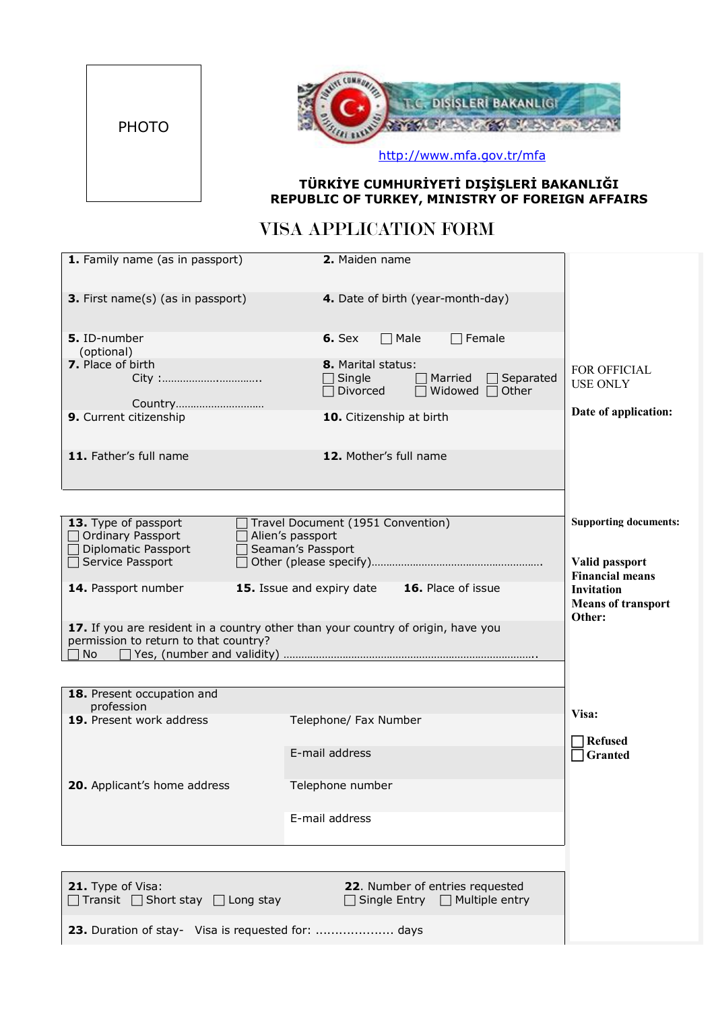



http://www.mfa.gov.tr/mfa

## **TÜRKİYE CUMHURİYETİ DIŞİŞLERİ BAKANLIĞI REPUBLIC OF TURKEY, MINISTRY OF FOREIGN AFFAIRS**

## VISA APPLICATION FORM

| 1. Family name (as in passport)                                                                                                                                                           | 2. Maiden name                                                                                                   |                                                                          |
|-------------------------------------------------------------------------------------------------------------------------------------------------------------------------------------------|------------------------------------------------------------------------------------------------------------------|--------------------------------------------------------------------------|
| 3. First name(s) (as in passport)                                                                                                                                                         | 4. Date of birth (year-month-day)                                                                                |                                                                          |
| 5. ID-number<br>(optional)                                                                                                                                                                | $\Box$ Female<br>$6.$ Sex<br>$\Box$ Male                                                                         |                                                                          |
| 7. Place of birth                                                                                                                                                                         | <b>8.</b> Marital status:<br>$\Box$ Single<br>Married<br>Separated<br>$\Box$ Divorced<br>Widowed $\Box$<br>Other | <b>FOR OFFICIAL</b><br><b>USE ONLY</b>                                   |
| Country<br>9. Current citizenship                                                                                                                                                         | 10. Citizenship at birth                                                                                         | Date of application:                                                     |
| 11. Father's full name                                                                                                                                                                    | 12. Mother's full name                                                                                           |                                                                          |
|                                                                                                                                                                                           |                                                                                                                  |                                                                          |
| Travel Document (1951 Convention)<br>13. Type of passport<br>□ Ordinary Passport<br>$\Box$ Alien's passport<br>□ Diplomatic Passport<br>Seaman's Passport<br>$\Box$<br>□ Service Passport | <b>Supporting documents:</b><br>Valid passport                                                                   |                                                                          |
| 14. Passport number                                                                                                                                                                       | 15. Issue and expiry date 16. Place of issue                                                                     | <b>Financial means</b><br><b>Invitation</b><br><b>Means of transport</b> |
| 17. If you are resident in a country other than your country of origin, have you<br>permission to return to that country?<br>No.                                                          |                                                                                                                  | Other:                                                                   |
|                                                                                                                                                                                           |                                                                                                                  |                                                                          |
| 18. Present occupation and<br>profession                                                                                                                                                  |                                                                                                                  |                                                                          |
| 19. Present work address                                                                                                                                                                  | Telephone/ Fax Number                                                                                            | Visa:                                                                    |
|                                                                                                                                                                                           | E-mail address                                                                                                   | <b>Refused</b><br>Granted                                                |
| 20. Applicant's home address                                                                                                                                                              | Telephone number                                                                                                 |                                                                          |
|                                                                                                                                                                                           | E-mail address                                                                                                   |                                                                          |
|                                                                                                                                                                                           |                                                                                                                  |                                                                          |
| 21. Type of Visa:<br>$\Box$ Transit $\Box$ Short stay $\Box$ Long stay                                                                                                                    | 22. Number of entries requested<br>$\Box$ Single Entry $\Box$ Multiple entry                                     |                                                                          |
| 23. Duration of stay- Visa is requested for:  days                                                                                                                                        |                                                                                                                  |                                                                          |